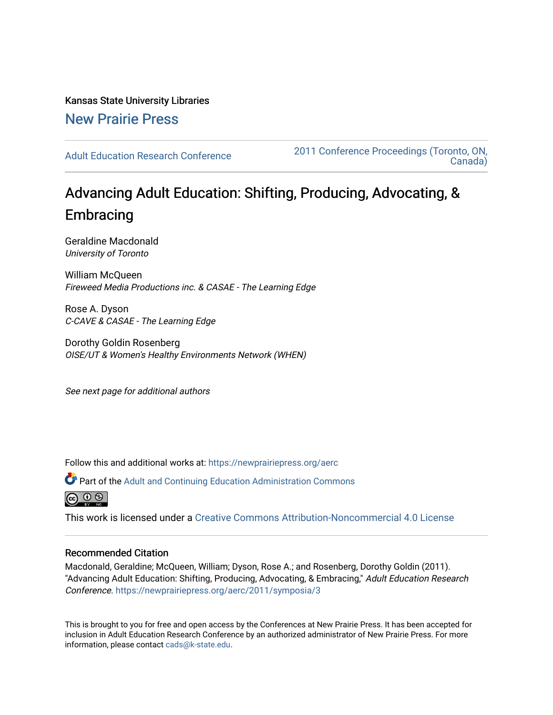Kansas State University Libraries [New Prairie Press](https://newprairiepress.org/) 

[Adult Education Research Conference](https://newprairiepress.org/aerc) [2011 Conference Proceedings \(Toronto, ON,](https://newprairiepress.org/aerc/2011)  [Canada\)](https://newprairiepress.org/aerc/2011) 

# Advancing Adult Education: Shifting, Producing, Advocating, & **Embracing**

Geraldine Macdonald University of Toronto

William McQueen Fireweed Media Productions inc. & CASAE - The Learning Edge

Rose A. Dyson C-CAVE & CASAE - The Learning Edge

Dorothy Goldin Rosenberg OISE/UT & Women's Healthy Environments Network (WHEN)

See next page for additional authors

Follow this and additional works at: [https://newprairiepress.org/aerc](https://newprairiepress.org/aerc?utm_source=newprairiepress.org%2Faerc%2F2011%2Fsymposia%2F3&utm_medium=PDF&utm_campaign=PDFCoverPages)

Part of the [Adult and Continuing Education Administration Commons](http://network.bepress.com/hgg/discipline/789?utm_source=newprairiepress.org%2Faerc%2F2011%2Fsymposia%2F3&utm_medium=PDF&utm_campaign=PDFCoverPages)

 $\circledcirc$   $\circledcirc$ 

This work is licensed under a [Creative Commons Attribution-Noncommercial 4.0 License](https://creativecommons.org/licenses/by-nc/4.0/)

#### Recommended Citation

Macdonald, Geraldine; McQueen, William; Dyson, Rose A.; and Rosenberg, Dorothy Goldin (2011). "Advancing Adult Education: Shifting, Producing, Advocating, & Embracing," Adult Education Research Conference.<https://newprairiepress.org/aerc/2011/symposia/3>

This is brought to you for free and open access by the Conferences at New Prairie Press. It has been accepted for inclusion in Adult Education Research Conference by an authorized administrator of New Prairie Press. For more information, please contact [cads@k-state.edu](mailto:cads@k-state.edu).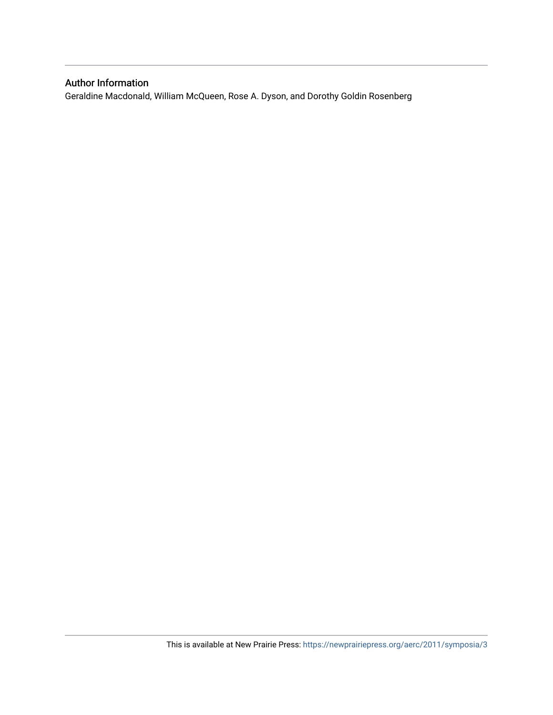# Author Information

Geraldine Macdonald, William McQueen, Rose A. Dyson, and Dorothy Goldin Rosenberg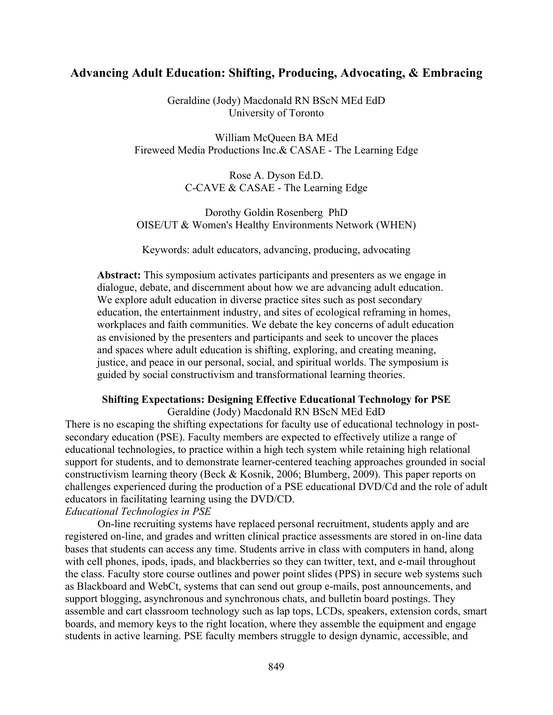# **Advancing Adult Education: Shifting, Producing, Advocating, & Embracing**

Geraldine (Jody) Macdonald RN BScN MEd EdD University of Toronto

William McQueen BA MEd Fireweed Media Productions Inc.& CASAE - The Learning Edge

> Rose A. Dyson Ed.D. C-CAVE & CASAE - The Learning Edge

Dorothy Goldin Rosenberg PhD OISE/UT & Women's Healthy Environments Network (WHEN)

Keywords: adult educators, advancing, producing, advocating

**Abstract:** This symposium activates participants and presenters as we engage in dialogue, debate, and discernment about how we are advancing adult education. We explore adult education in diverse practice sites such as post secondary education, the entertainment industry, and sites of ecological reframing in homes, workplaces and faith communities. We debate the key concerns of adult education as envisioned by the presenters and participants and seek to uncover the places and spaces where adult education is shifting, exploring, and creating meaning, justice, and peace in our personal, social, and spiritual worlds. The symposium is guided by social constructivism and transformational learning theories.

#### **Shifting Expectations: Designing Effective Educational Technology for PSE**

Geraldine (Jody) Macdonald RN BScN MEd EdD There is no escaping the shifting expectations for faculty use of educational technology in postsecondary education (PSE). Faculty members are expected to effectively utilize a range of educational technologies, to practice within a high tech system while retaining high relational support for students, and to demonstrate learner-centered teaching approaches grounded in social constructivism learning theory (Beck & Kosnik, 2006; Blumberg, 2009). This paper reports on challenges experienced during the production of a PSE educational DVD/Cd and the role of adult educators in facilitating learning using the DVD/CD.

# *Educational Technologies in PSE*

On-line recruiting systems have replaced personal recruitment, students apply and are registered on-line, and grades and written clinical practice assessments are stored in on-line data bases that students can access any time. Students arrive in class with computers in hand, along with cell phones, ipods, ipads, and blackberries so they can twitter, text, and e-mail throughout the class. Faculty store course outlines and power point slides (PPS) in secure web systems such as Blackboard and WebCt, systems that can send out group e-mails, post announcements, and support blogging, asynchronous and synchronous chats, and bulletin board postings. They assemble and cart classroom technology such as lap tops, LCDs, speakers, extension cords, smart boards, and memory keys to the right location, where they assemble the equipment and engage students in active learning. PSE faculty members struggle to design dynamic, accessible, and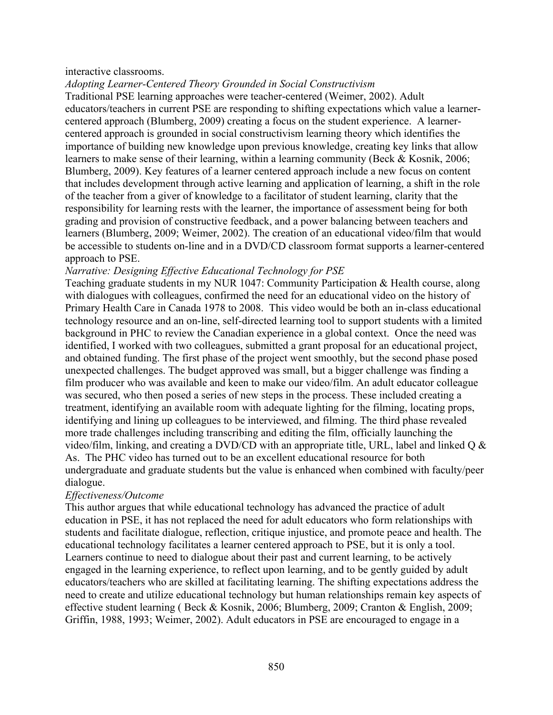### interactive classrooms.

*Adopting Learner-Centered Theory Grounded in Social Constructivism*

Traditional PSE learning approaches were teacher-centered (Weimer, 2002). Adult educators/teachers in current PSE are responding to shifting expectations which value a learnercentered approach (Blumberg, 2009) creating a focus on the student experience. A learnercentered approach is grounded in social constructivism learning theory which identifies the importance of building new knowledge upon previous knowledge, creating key links that allow learners to make sense of their learning, within a learning community (Beck & Kosnik, 2006; Blumberg, 2009). Key features of a learner centered approach include a new focus on content that includes development through active learning and application of learning, a shift in the role of the teacher from a giver of knowledge to a facilitator of student learning, clarity that the responsibility for learning rests with the learner, the importance of assessment being for both grading and provision of constructive feedback, and a power balancing between teachers and learners (Blumberg, 2009; Weimer, 2002). The creation of an educational video/film that would be accessible to students on-line and in a DVD/CD classroom format supports a learner-centered approach to PSE.

### *Narrative: Designing Effective Educational Technology for PSE*

Teaching graduate students in my NUR 1047: Community Participation & Health course, along with dialogues with colleagues, confirmed the need for an educational video on the history of Primary Health Care in Canada 1978 to 2008. This video would be both an in-class educational technology resource and an on-line, self-directed learning tool to support students with a limited background in PHC to review the Canadian experience in a global context. Once the need was identified, I worked with two colleagues, submitted a grant proposal for an educational project, and obtained funding. The first phase of the project went smoothly, but the second phase posed unexpected challenges. The budget approved was small, but a bigger challenge was finding a film producer who was available and keen to make our video/film. An adult educator colleague was secured, who then posed a series of new steps in the process. These included creating a treatment, identifying an available room with adequate lighting for the filming, locating props, identifying and lining up colleagues to be interviewed, and filming. The third phase revealed more trade challenges including transcribing and editing the film, officially launching the video/film, linking, and creating a DVD/CD with an appropriate title, URL, label and linked Q & As. The PHC video has turned out to be an excellent educational resource for both undergraduate and graduate students but the value is enhanced when combined with faculty/peer dialogue.

# *Effectiveness/Outcome*

This author argues that while educational technology has advanced the practice of adult education in PSE, it has not replaced the need for adult educators who form relationships with students and facilitate dialogue, reflection, critique injustice, and promote peace and health. The educational technology facilitates a learner centered approach to PSE, but it is only a tool. Learners continue to need to dialogue about their past and current learning, to be actively engaged in the learning experience, to reflect upon learning, and to be gently guided by adult educators/teachers who are skilled at facilitating learning. The shifting expectations address the need to create and utilize educational technology but human relationships remain key aspects of effective student learning ( Beck & Kosnik, 2006; Blumberg, 2009; Cranton & English, 2009; Griffin, 1988, 1993; Weimer, 2002). Adult educators in PSE are encouraged to engage in a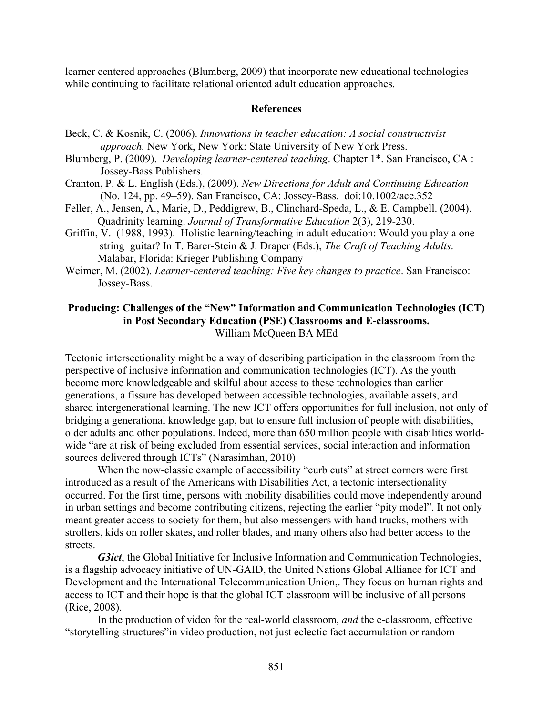learner centered approaches (Blumberg, 2009) that incorporate new educational technologies while continuing to facilitate relational oriented adult education approaches.

#### **References**

- Beck, C. & Kosnik, C. (2006). *Innovations in teacher education: A social constructivist approach.* New York, New York: State University of New York Press.
- Blumberg, P. (2009). *Developing learner-centered teaching*. Chapter 1\*. San Francisco, CA : Jossey-Bass Publishers.
- Cranton, P. & L. English (Eds.), (2009). *New Directions for Adult and Continuing Education* (No. 124, pp. 49–59). San Francisco, CA: Jossey-Bass. doi:10.1002/ace.352
- Feller, A., Jensen, A., Marie, D., Peddigrew, B., Clinchard-Speda, L., & E. Campbell. (2004). Quadrinity learning. *Journal of Transformative Education* 2(3), 219-230.
- Griffin, V. (1988, 1993). Holistic learning/teaching in adult education: Would you play a one string guitar? In T. Barer-Stein & J. Draper (Eds.), *The Craft of Teaching Adults*. Malabar, Florida: Krieger Publishing Company
- Weimer, M. (2002). *Learner-centered teaching: Five key changes to practice*. San Francisco: Jossey-Bass.

# **Producing: Challenges of the "New" Information and Communication Technologies (ICT) in Post Secondary Education (PSE) Classrooms and E-classrooms.** William McQueen BA MEd

Tectonic intersectionality might be a way of describing participation in the classroom from the perspective of inclusive information and communication technologies (ICT). As the youth become more knowledgeable and skilful about access to these technologies than earlier generations, a fissure has developed between accessible technologies, available assets, and shared intergenerational learning. The new ICT offers opportunities for full inclusion, not only of bridging a generational knowledge gap, but to ensure full inclusion of people with disabilities, older adults and other populations. Indeed, more than 650 million people with disabilities worldwide "are at risk of being excluded from essential services, social interaction and information sources delivered through ICTs" (Narasimhan, 2010)

When the now-classic example of accessibility "curb cuts" at street corners were first introduced as a result of the Americans with Disabilities Act, a tectonic intersectionality occurred. For the first time, persons with mobility disabilities could move independently around in urban settings and become contributing citizens, rejecting the earlier "pity model". It not only meant greater access to society for them, but also messengers with hand trucks, mothers with strollers, kids on roller skates, and roller blades, and many others also had better access to the streets.

*G3ict*, the Global Initiative for Inclusive Information and Communication Technologies, is a flagship advocacy initiative of UN-GAID, the United Nations Global Alliance for ICT and Development and the International Telecommunication Union,. They focus on human rights and access to ICT and their hope is that the global ICT classroom will be inclusive of all persons (Rice, 2008).

In the production of video for the real-world classroom, *and* the e-classroom, effective "storytelling structures"in video production, not just eclectic fact accumulation or random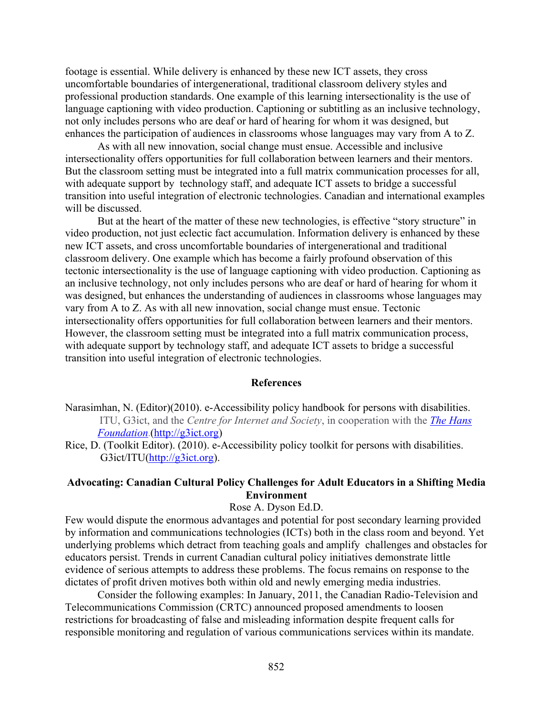footage is essential. While delivery is enhanced by these new ICT assets, they cross uncomfortable boundaries of intergenerational, traditional classroom delivery styles and professional production standards. One example of this learning intersectionality is the use of language captioning with video production. Captioning or subtitling as an inclusive technology, not only includes persons who are deaf or hard of hearing for whom it was designed, but enhances the participation of audiences in classrooms whose languages may vary from A to Z.

As with all new innovation, social change must ensue. Accessible and inclusive intersectionality offers opportunities for full collaboration between learners and their mentors. But the classroom setting must be integrated into a full matrix communication processes for all, with adequate support by technology staff, and adequate ICT assets to bridge a successful transition into useful integration of electronic technologies. Canadian and international examples will be discussed.

But at the heart of the matter of these new technologies, is effective "story structure" in video production, not just eclectic fact accumulation. Information delivery is enhanced by these new ICT assets, and cross uncomfortable boundaries of intergenerational and traditional classroom delivery. One example which has become a fairly profound observation of this tectonic intersectionality is the use of language captioning with video production. Captioning as an inclusive technology, not only includes persons who are deaf or hard of hearing for whom it was designed, but enhances the understanding of audiences in classrooms whose languages may vary from A to Z. As with all new innovation, social change must ensue. Tectonic intersectionality offers opportunities for full collaboration between learners and their mentors. However, the classroom setting must be integrated into a full matrix communication process, with adequate support by technology staff, and adequate ICT assets to bridge a successful transition into useful integration of electronic technologies.

#### **References**

- Narasimhan, N. (Editor)(2010). e-Accessibility policy handbook for persons with disabilities. ITU, G3ict, and the *Centre for Internet and Society*, in cooperation with the *The Hans Foundation*.(http://g3ict.org)
- Rice, D. (Toolkit Editor). (2010). e-Accessibility policy toolkit for persons with disabilities. G3ict/ITU(http://g3ict.org).

# **Advocating: Canadian Cultural Policy Challenges for Adult Educators in a Shifting Media Environment**

#### Rose A. Dyson Ed.D.

Few would dispute the enormous advantages and potential for post secondary learning provided by information and communications technologies (ICTs) both in the class room and beyond. Yet underlying problems which detract from teaching goals and amplify challenges and obstacles for educators persist. Trends in current Canadian cultural policy initiatives demonstrate little evidence of serious attempts to address these problems. The focus remains on response to the dictates of profit driven motives both within old and newly emerging media industries.

Consider the following examples: In January, 2011, the Canadian Radio-Television and Telecommunications Commission (CRTC) announced proposed amendments to loosen restrictions for broadcasting of false and misleading information despite frequent calls for responsible monitoring and regulation of various communications services within its mandate.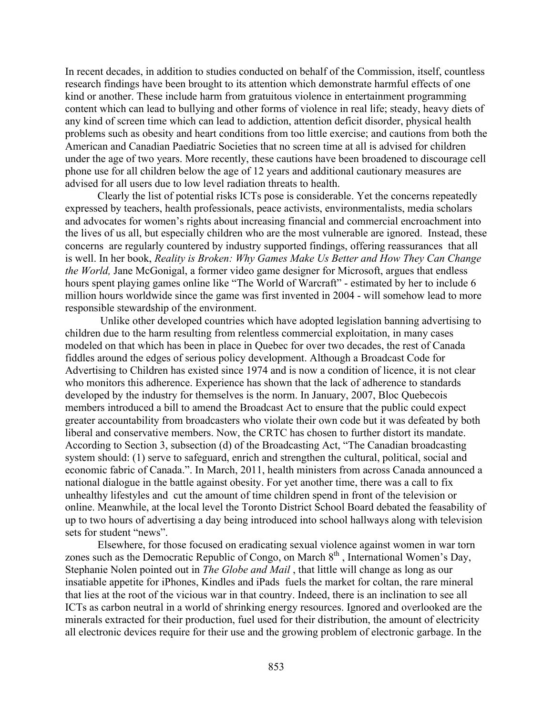In recent decades, in addition to studies conducted on behalf of the Commission, itself, countless research findings have been brought to its attention which demonstrate harmful effects of one kind or another. These include harm from gratuitous violence in entertainment programming content which can lead to bullying and other forms of violence in real life; steady, heavy diets of any kind of screen time which can lead to addiction, attention deficit disorder, physical health problems such as obesity and heart conditions from too little exercise; and cautions from both the American and Canadian Paediatric Societies that no screen time at all is advised for children under the age of two years. More recently, these cautions have been broadened to discourage cell phone use for all children below the age of 12 years and additional cautionary measures are advised for all users due to low level radiation threats to health.

Clearly the list of potential risks ICTs pose is considerable. Yet the concerns repeatedly expressed by teachers, health professionals, peace activists, environmentalists, media scholars and advocates for women's rights about increasing financial and commercial encroachment into the lives of us all, but especially children who are the most vulnerable are ignored. Instead, these concerns are regularly countered by industry supported findings, offering reassurances that all is well. In her book, *Reality is Broken: Why Games Make Us Better and How They Can Change the World,* Jane McGonigal, a former video game designer for Microsoft, argues that endless hours spent playing games online like "The World of Warcraft" - estimated by her to include 6 million hours worldwide since the game was first invented in 2004 - will somehow lead to more responsible stewardship of the environment.

 Unlike other developed countries which have adopted legislation banning advertising to children due to the harm resulting from relentless commercial exploitation, in many cases modeled on that which has been in place in Quebec for over two decades, the rest of Canada fiddles around the edges of serious policy development. Although a Broadcast Code for Advertising to Children has existed since 1974 and is now a condition of licence, it is not clear who monitors this adherence. Experience has shown that the lack of adherence to standards developed by the industry for themselves is the norm. In January, 2007, Bloc Quebecois members introduced a bill to amend the Broadcast Act to ensure that the public could expect greater accountability from broadcasters who violate their own code but it was defeated by both liberal and conservative members. Now, the CRTC has chosen to further distort its mandate. According to Section 3, subsection (d) of the Broadcasting Act, "The Canadian broadcasting system should: (1) serve to safeguard, enrich and strengthen the cultural, political, social and economic fabric of Canada.". In March, 2011, health ministers from across Canada announced a national dialogue in the battle against obesity. For yet another time, there was a call to fix unhealthy lifestyles and cut the amount of time children spend in front of the television or online. Meanwhile, at the local level the Toronto District School Board debated the feasability of up to two hours of advertising a day being introduced into school hallways along with television sets for student "news".

Elsewhere, for those focused on eradicating sexual violence against women in war torn zones such as the Democratic Republic of Congo, on March  $8<sup>th</sup>$ , International Women's Day, Stephanie Nolen pointed out in *The Globe and Mail* , that little will change as long as our insatiable appetite for iPhones, Kindles and iPads fuels the market for coltan, the rare mineral that lies at the root of the vicious war in that country. Indeed, there is an inclination to see all ICTs as carbon neutral in a world of shrinking energy resources. Ignored and overlooked are the minerals extracted for their production, fuel used for their distribution, the amount of electricity all electronic devices require for their use and the growing problem of electronic garbage. In the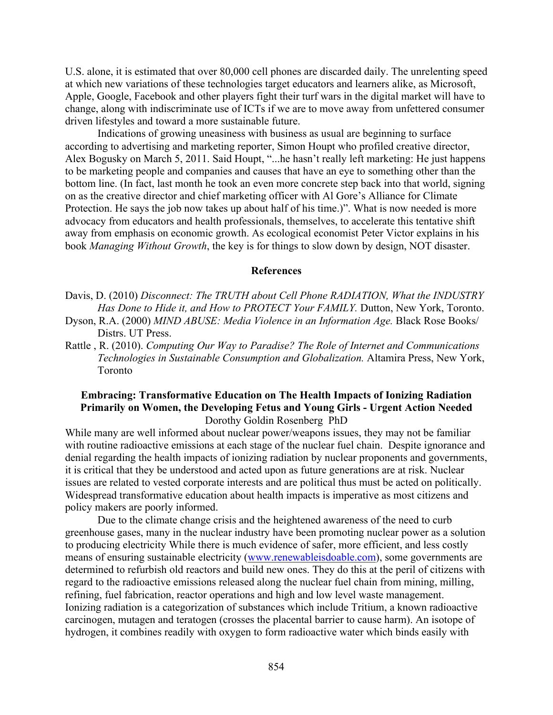U.S. alone, it is estimated that over 80,000 cell phones are discarded daily. The unrelenting speed at which new variations of these technologies target educators and learners alike, as Microsoft, Apple, Google, Facebook and other players fight their turf wars in the digital market will have to change, along with indiscriminate use of ICTs if we are to move away from unfettered consumer driven lifestyles and toward a more sustainable future.

Indications of growing uneasiness with business as usual are beginning to surface according to advertising and marketing reporter, Simon Houpt who profiled creative director, Alex Bogusky on March 5, 2011. Said Houpt, "...he hasn't really left marketing: He just happens to be marketing people and companies and causes that have an eye to something other than the bottom line. (In fact, last month he took an even more concrete step back into that world, signing on as the creative director and chief marketing officer with Al Gore's Alliance for Climate Protection. He says the job now takes up about half of his time.)". What is now needed is more advocacy from educators and health professionals, themselves, to accelerate this tentative shift away from emphasis on economic growth. As ecological economist Peter Victor explains in his book *Managing Without Growth*, the key is for things to slow down by design, NOT disaster.

#### **References**

- Davis, D. (2010) *Disconnect: The TRUTH about Cell Phone RADIATION, What the INDUSTRY Has Done to Hide it, and How to PROTECT Your FAMILY.* Dutton, New York, Toronto.
- Dyson, R.A. (2000) *MIND ABUSE: Media Violence in an Information Age*. Black Rose Books/ Distrs. UT Press.
- Rattle , R. (2010). *Computing Our Way to Paradise? The Role of Internet and Communications Technologies in Sustainable Consumption and Globalization.* Altamira Press, New York, Toronto

## **Embracing: Transformative Education on The Health Impacts of Ionizing Radiation Primarily on Women, the Developing Fetus and Young Girls - Urgent Action Needed** Dorothy Goldin Rosenberg PhD

While many are well informed about nuclear power/weapons issues, they may not be familiar with routine radioactive emissions at each stage of the nuclear fuel chain. Despite ignorance and denial regarding the health impacts of ionizing radiation by nuclear proponents and governments, it is critical that they be understood and acted upon as future generations are at risk. Nuclear issues are related to vested corporate interests and are political thus must be acted on politically. Widespread transformative education about health impacts is imperative as most citizens and policy makers are poorly informed.

Due to the climate change crisis and the heightened awareness of the need to curb greenhouse gases, many in the nuclear industry have been promoting nuclear power as a solution to producing electricity While there is much evidence of safer, more efficient, and less costly means of ensuring sustainable electricity (www.renewableisdoable.com), some governments are determined to refurbish old reactors and build new ones. They do this at the peril of citizens with regard to the radioactive emissions released along the nuclear fuel chain from mining, milling, refining, fuel fabrication, reactor operations and high and low level waste management. Ionizing radiation is a categorization of substances which include Tritium, a known radioactive carcinogen, mutagen and teratogen (crosses the placental barrier to cause harm). An isotope of hydrogen, it combines readily with oxygen to form radioactive water which binds easily with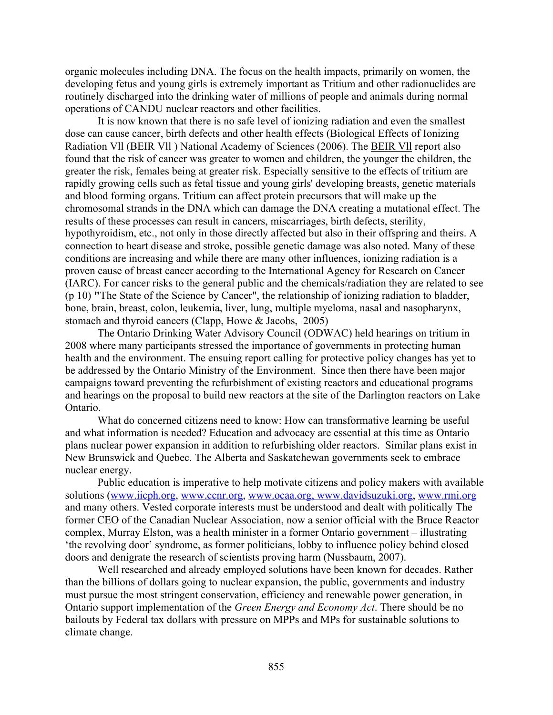organic molecules including DNA. The focus on the health impacts, primarily on women, the developing fetus and young girls is extremely important as Tritium and other radionuclides are routinely discharged into the drinking water of millions of people and animals during normal operations of CANDU nuclear reactors and other facilities.

It is now known that there is no safe level of ionizing radiation and even the smallest dose can cause cancer, birth defects and other health effects (Biological Effects of Ionizing Radiation Vll (BEIR Vll ) National Academy of Sciences (2006). The BEIR Vll report also found that the risk of cancer was greater to women and children, the younger the children, the greater the risk, females being at greater risk. Especially sensitive to the effects of tritium are rapidly growing cells such as fetal tissue and young girls' developing breasts, genetic materials and blood forming organs. Tritium can affect protein precursors that will make up the chromosomal strands in the DNA which can damage the DNA creating a mutational effect. The results of these processes can result in cancers, miscarriages, birth defects, sterility, hypothyroidism, etc., not only in those directly affected but also in their offspring and theirs. A connection to heart disease and stroke, possible genetic damage was also noted. Many of these conditions are increasing and while there are many other influences, ionizing radiation is a proven cause of breast cancer according to the International Agency for Research on Cancer (IARC). For cancer risks to the general public and the chemicals/radiation they are related to see (p 10) **"**The State of the Science by Cancer", the relationship of ionizing radiation to bladder, bone, brain, breast, colon, leukemia, liver, lung, multiple myeloma, nasal and nasopharynx, stomach and thyroid cancers (Clapp, Howe & Jacobs, 2005)

The Ontario Drinking Water Advisory Council (ODWAC) held hearings on tritium in 2008 where many participants stressed the importance of governments in protecting human health and the environment. The ensuing report calling for protective policy changes has yet to be addressed by the Ontario Ministry of the Environment. Since then there have been major campaigns toward preventing the refurbishment of existing reactors and educational programs and hearings on the proposal to build new reactors at the site of the Darlington reactors on Lake Ontario.

What do concerned citizens need to know: How can transformative learning be useful and what information is needed? Education and advocacy are essential at this time as Ontario plans nuclear power expansion in addition to refurbishing older reactors. Similar plans exist in New Brunswick and Quebec. The Alberta and Saskatchewan governments seek to embrace nuclear energy.

Public education is imperative to help motivate citizens and policy makers with available solutions (www.iicph.org, www.ccnr.org, www.ocaa.org, www.davidsuzuki.org, www.rmi.org and many others. Vested corporate interests must be understood and dealt with politically The former CEO of the Canadian Nuclear Association, now a senior official with the Bruce Reactor complex, Murray Elston, was a health minister in a former Ontario government – illustrating 'the revolving door' syndrome, as former politicians, lobby to influence policy behind closed doors and denigrate the research of scientists proving harm (Nussbaum, 2007).

Well researched and already employed solutions have been known for decades. Rather than the billions of dollars going to nuclear expansion, the public, governments and industry must pursue the most stringent conservation, efficiency and renewable power generation, in Ontario support implementation of the *Green Energy and Economy Act*. There should be no bailouts by Federal tax dollars with pressure on MPPs and MPs for sustainable solutions to climate change.